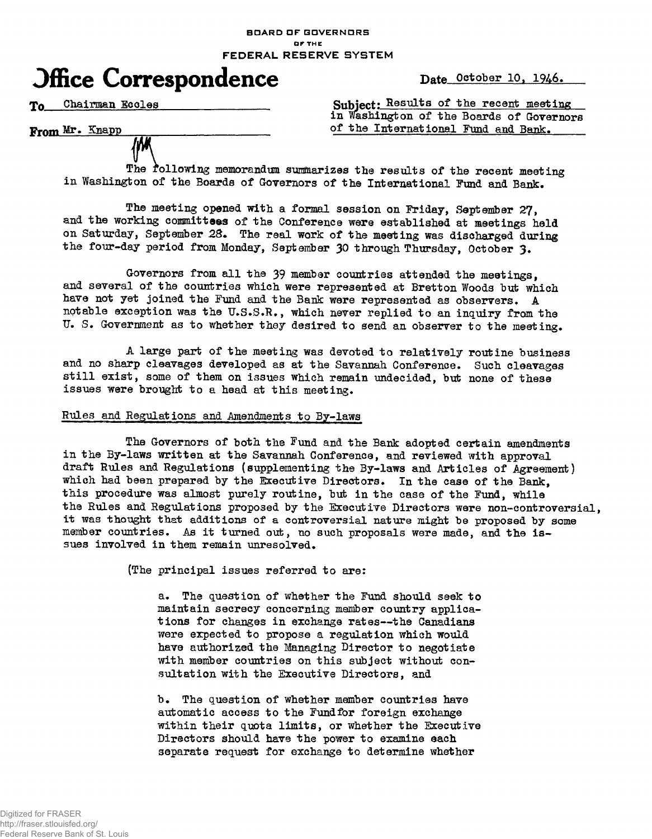#### **BOARD OF GOVERNORS OF THE** FEDERAL RESERVE SYSTEM



To Chairman Eccles Subject: Results of the recent meeting in Washington of the Boards of Governors From Mr. Knapp cof the International Fund and Bank.

The following memorandum summarizes the results of the recent meeting in Washington of the Boards of Governors of the International Fund and Bank.

The meeting opened with a formal session on Friday, September 27, and the working committees of the Conference were established at meetings held on Saturday, September 2S. The real work of the meeting was discharged during the four-day period from Monday, September 30 through Thursday, October 3.

Governors from all the 39 member countries attended the meetings, and several of the countries which were represented at Bretton Woods but which have not yet joined the Fund and the Bank were represented as observers. A notable exception was the U.S.S.R., which never replied to an inquiry from the U. S. Government as to whether they desired to send an observer to the meeting.

A large part of the meeting was devoted to relatively routine business and no sharp cleavages developed as at the Savannah Conference. Such cleavages still exist, some of them on issues which remain undecided, but none of these issues were brought to a head at this meeting.

# Rules and Regulations and Amendments to By-laws

The Governors of both the Fund and the Bank adopted certain amendments in the By-laws written at the Savannah Conference, and reviewed with approval draft Rules and Regulations (supplementing the By-laws and Articles of Agreement) which had been prepared by the Executive Directors. In the case of the Bank, this procedure was almost purely routine, but in the case of the Fund, while the Rules and Regulations proposed by the Executive Directors were non-controversial, it was thought that additions of a controversial nature might be proposed by some member countries. As it turned out, no such proposals were made, and the issues involved in them remain unresolved.

(The principal issues referred to are:

a. The question of whether the Fund should seek to maintain secrecy concerning member country applications for changes in exchange rates—the Canadians were expected to propose a regulation which would have authorized the Managing Director to negotiate with member countries on this subject without consultation with the Executive Directors, and

b. The question of whether member countries have automatic access to the Fund for foreign exchange within their quota limits, or whether the Executive Directors should have the power to examine each separate request for exchange to determine whether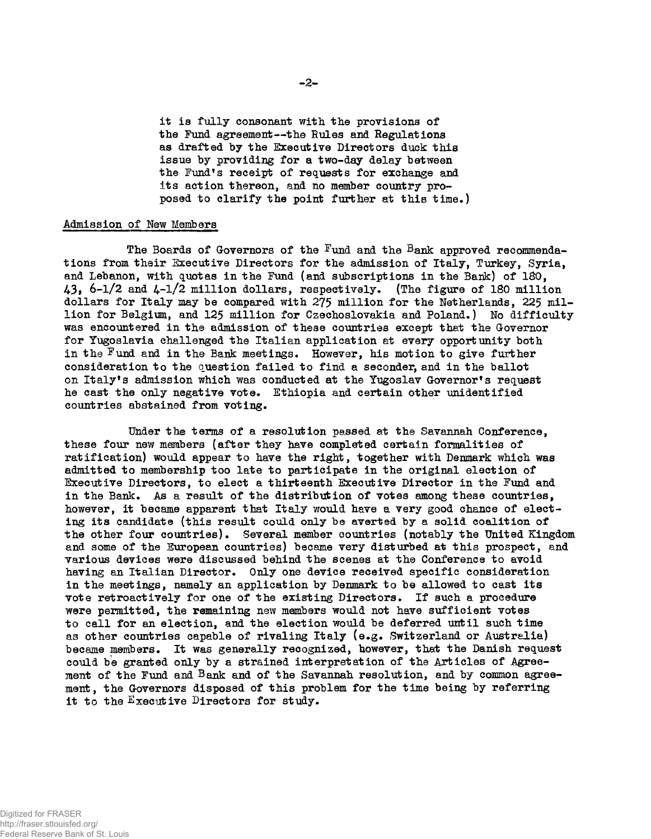it is fully consonant with the provisions of the Fund agreement—the Rules and Regulations as drafted by the Executive Directors duck this issue by providing for a two-day delay between the Fund's receipt of requests for exchange and its action thereon, and no member country proposed to clarify the point further at this time.)

## Admission of Hew Members

The Boards of Governors of the  $\frac{Fund}{}$  and the  $Bank$  approved recommendations from their Executive Directors for the admission of Italy, Turkey, Syria, and Lebanon, with quotas in the Fund (and subscriptions in the Bank) of 180, 43, 6-1/2 and 4-1/2 million dollars, respectivsly. (The figure of ISO million dollars for Italy may be compared with 275 million for the Netherlands, 225 million for Belgium, and 125 million for Czechoslovakia and Poland.) No difficulty was encountered in the admission of these countries except that the Governor for Yugoslavia challenged the Italian application at every opportunity both in the Fund and in the Bank meetings. However, his motion to give further consideration to the question failed to find a seconder, and in the ballot on Italy's admission which was conducted at the Yugoslav Governor's request he cast the only negative vote. Ethiopia and certain other unidentified countries abstained from voting.

Under the terms of a resolution passed at the Savannah Conference, these four new members (after they have completed certain formalities of ratification) would appear to have the right, together with Denmark which was admitted to membership too late to participate in the original election of Executive Directors, to elect a thirteenth Executive Director in the Fund and in the Bank. As a result of the distribution of votes among these countries, however, it became apparent that Italy would have a very good chance of electing its candidate (this result could only be averted by a solid coalition of the other four countries). Several member countries (notably the United Kingdom and some of the European countries) became very disturbed at this prospect, and various devices were discussed behind the scenes at the Conference to avoid having an Italian Director. Only one device received specific consideration in the meetings, namely an application by Denmark to be allowed to cast its vote retroactively for one of the existing Directors. If such a procedure were permitted, the remaining new members would not have sufficient votes to call for an election, and the election would be deferred until such time as other countries capable of rivaling Italy (e.g. Switzerland or Australia) became members. It was generally recognized, however, that the Danish request could be granted only by a strained interpretation of the Articles of Agreement of the Fund and Bank and of the Savannah resolution, and by common agreement, the Governors disposed of this problem for the time being by referring it to the Executive Directors for study.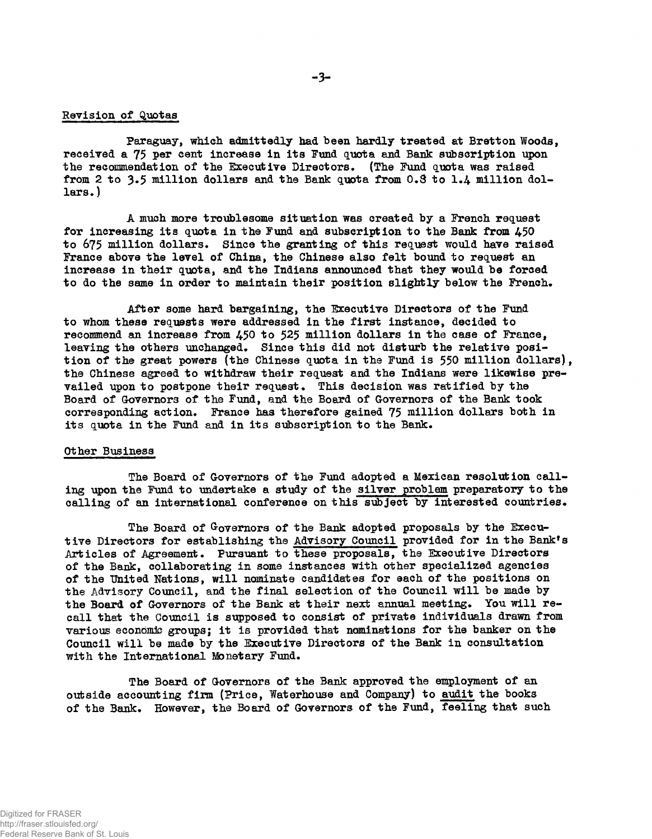## Revision of Quotas

Paraguay, which admittedly had been hardly treated at Bretton Woods, received a 75 per cent increase in its Fund quota and Bank subscription upon the recommendation of the Executive Directors. (The Fund quota was raised from 2 to 3.5 million dollars and the Bank quota from  $0.8$  to  $1.4$  million dol $lars.$ )

A much more troublesome situation was created by a French request for increasing its quota in the Fund and subscription to the Bank from 450 to 675 million dollars. Since the granting of this request would have raised France above the level of China, the Chinese also felt bound to request an increase in their quota, and the Indians announced that they would be forced to do the same in order to maintain their position slightly below the French.

After some hard bargaining, the Executive Directors of the Fund to whom these requests were addressed in the first instance, decided to recommend an increase from  $450$  to  $525$  million dollars in the case of France, leaving the others unchanged. Since this did not disturb the relative position of the great powers (the Chinese quota in the Fund is 550 million dollars), the Chinese agreed to withdraw their request and the Indians were likewise prevailed upon to postpone their request. This decision was ratified by the Board of Governors of the Fund, and the Board of Governors of the Bank took corresponding action. France has therefore gained 75 million dollars both in its quota in the Fund and in its subscription to the Bank.

#### Other Business

The Board of Governors of the Fund adopted a Mexican resolution calling upon the Fund to undertake a study of the silver problem preparatory to the calling of an international conference on this subject by interested countries.

The Board of Governors of the Bank adopted proposals by the Executive Directors for establishing the Advisory Council provided for in the Bank's Articles of Agreement. Pursuant to these proposals, the Executive Directors of the Bank, collaborating in some instances with other specialized agencies of the United Nations, will nominate candidates for each of the positions on the Advisory Council, and the final selection of the Council will be made by the Board of Governors of the Bank at their next annual meeting. You will recall that the Council is supposed to consist of private individuals drawn from various economic groups; it is provided that nominations for the banker on the Council will be made by the Executive Directors of the Bank in consultation with the International Monetary Fund.

The Board of Governors of the Bank approved the employment of an outside accounting firm (Price, Waterhouse and Company) to audit the books of the Bank. However, the Board of Governors of the Fund, feeling that such